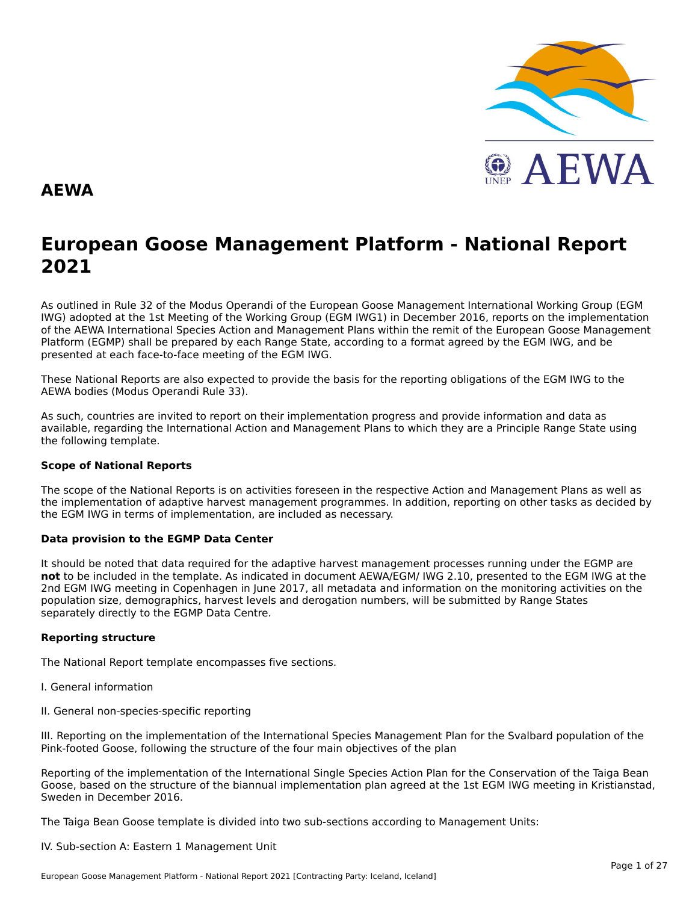

#### **AEWA**

# **European Goose Management Platform - National Report**European Goose Management Platform - National Report<br>2021

As outlined in Rule 32 of the Modus Operandi of the European Goose Management International Working Group (EGM As buthled in Rule 32 of the Modus Operandi of the Lufopean Goose Management International Working Group (LGM<br>IWG) adopted at the 1st Meeting of the Working Group (EGM IWG1) in December 2016, reports on the implementation of the AEWA International Species Action and Management Plans within the remit of the European Goose Management Platform (EGMP) shall be prepared by each Range State, according to a format agreed by the EGM IWG, and be presented at each face-to-face meeting of the EGM IWG.

These National Reports are also expected to provide the basis for the reporting obligations of the EGM IWG to the AEWA bodies (Modus Operandi Rule 33).

As such, countries are invited to report on their implementation progress and provide information and data asAs such, countries are invited to report on their implementation progress and provide imomiation and data as<br>available, regarding the International Action and Management Plans to which they are a Principle Range State usin the following template.

#### **Scope of National Reports**

The scope of the National Reports is on activities foreseen in the respective Action and Management Plans as well as<br>the invalence total of adoptive harvest management are respective and dition are atting on other today as the implementation of adaptive harvest management programmes. In addition, reporting on other tasks as decided by the EGM IWG in terms of implementation, are included as necessary.

#### **Data provision to the EGMP Data Center**

It should be noted that data required for the adaptive harvest management processes running under the EGMP are not to be included in the template. As indicated in document AEWA/EGM/ IWG 2.10, presented to the EGM IWG at the 2nd EGM IWG meeting in Copenhagen in June 2017, all metadata and information on the monitoring activities on the population size, demographics, harvest levels and derogation numbers, will be submitted by Range States separately directly to the EGMP Data Centre.

#### **Reporting structure**

The National Report template encompasses five sections.

- I. General information
- II. General non-species-specific reporting

III. Reporting on the implementation of the International Species Management Plan for the Svalbard population of the Pink-footed Goose, following the structure of the four main objectives of the plan

Reporting of the implementation of the International Single Species Action Plan for the Conservation of the Taiga Bean Goose, based on the structure of the biannual implementation plan agreed at the 1st EGM IWG meeting in Kristianstad, Sweden in December 2016.

The Taiga Bean Goose template is divided into two sub-sections according to Management Units:

#### IV. Sub-section A: Eastern 1 Management Unit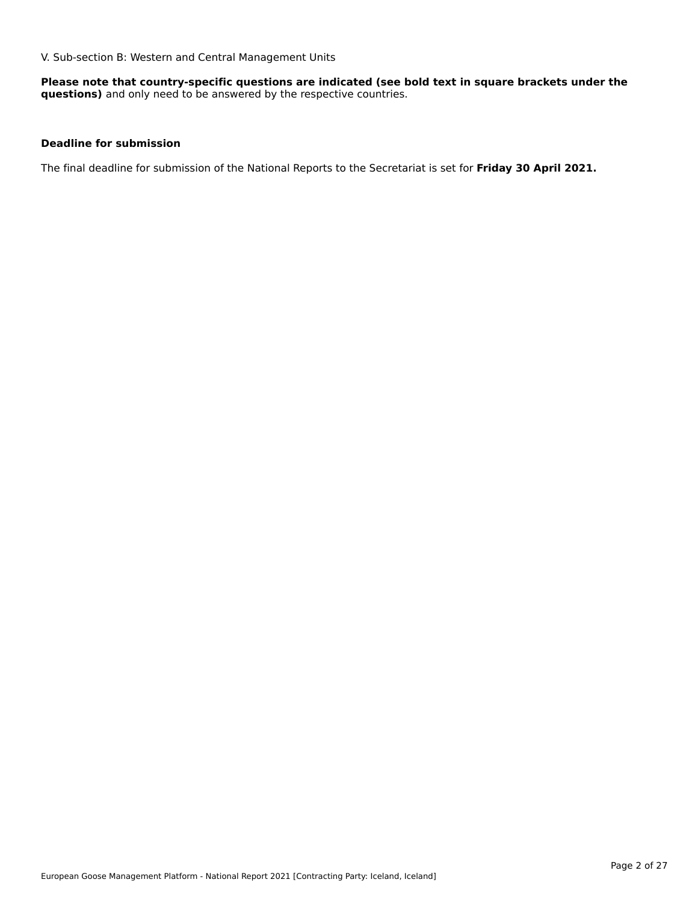V. Sub-section B: Western and Central Management Units

**Please note that country-specific questions are indicated (see bold text in square brackets under the questions)** and only need to be answered by the respective countries.

#### **Deadline for submission**

The final deadline for submission of the National Reports to the Secretariat is set for **Friday 30 April 2021.**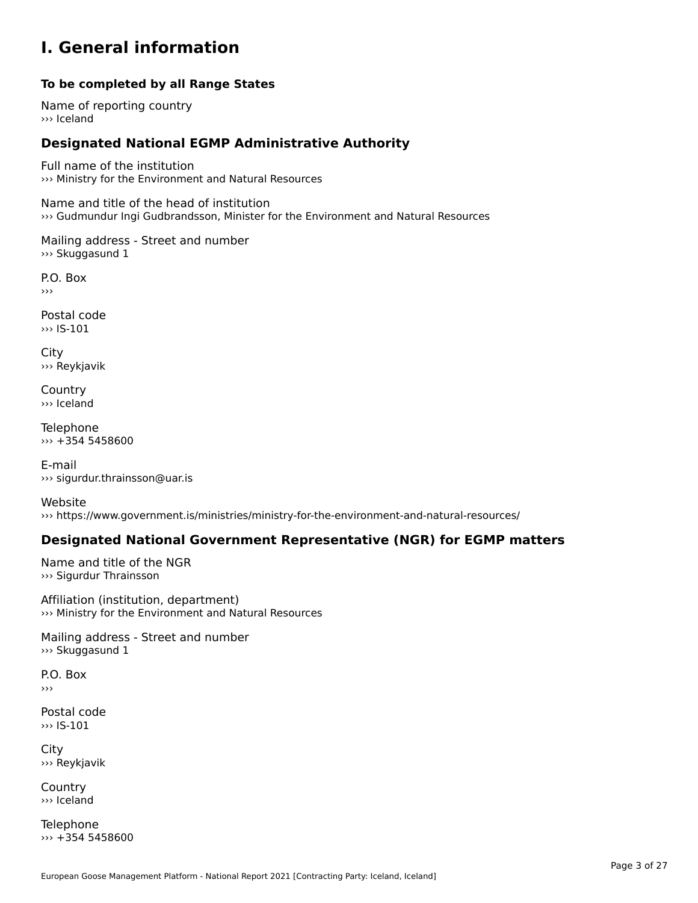#### **I. General information**

#### **To be completed by all Range States**

Name of reporting country››› Iceland

# **Designated National EGMP Administrative Authority**

Full name of the institution ››› Ministry for the Environment and Natural Resources

Name and title of the head of institution ››› Gudmundur Ingi Gudbrandsson, Minister for the Environment and Natural Resources

Mailing address - Street and number ››› Skuggasund 1

P.O. Box›››

Postal code ››› IS-101

City ››› Reykjavik

**Country** ››› Iceland

Telephone ››› +354 5458600

E-mail››› sigurdur.thrainsson@uar.is

Website››› https://www.government.is/ministries/ministry-for-the-environment-and-natural-resources/

### **Designated National Government Representative (NGR) for EGMP matters**

Name and title of the NGR ››› Sigurdur Thrainsson

Affiliation (institution, department) ››› Ministry for the Environment and Natural Resources

Mailing address - Street and number ››› Skuggasund 1

P.O. Box›››

Postal code ››› IS-101

City ››› Reykjavik

**Country** ››› Iceland

Telephone ››› +354 5458600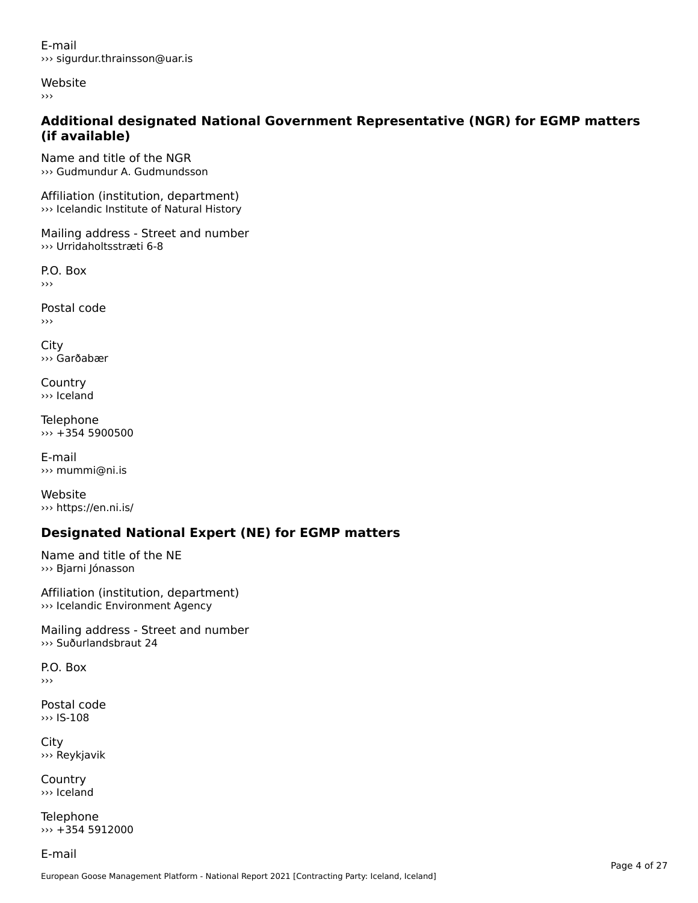E-mail››› sigurdur.thrainsson@uar.is

Website

›››

#### **Additional designated National Government Representative (NGR) for EGMP matters (if available)**(if available)

Name and title of the NGR››› Gudmundur A. Gudmundsson

Affiliation (institution, department) ››› Icelandic Institute of Natural History

Mailing address - Street and number ››› Urridaholtsstræti 6-8

P.O. Box ›››

Postal code›››

City ››› Garðabær

**Country** ››› Iceland

Telephone ››› +354 5900500

E-mail ››› mummi@ni.is

Website››› https://en.ni.is/

# **Designated National Expert (NE) for EGMP matters**

Name and title of the NE ››› Bjarni Jónasson

Affiliation (institution, department) ››› Icelandic Environment Agency

Mailing address - Street and number ››› Suðurlandsbraut 24

P.O. Box›››

Postal code››› IS-108

City ››› Reykjavik

Country››› Iceland

Telephone ››› +354 5912000

E-mail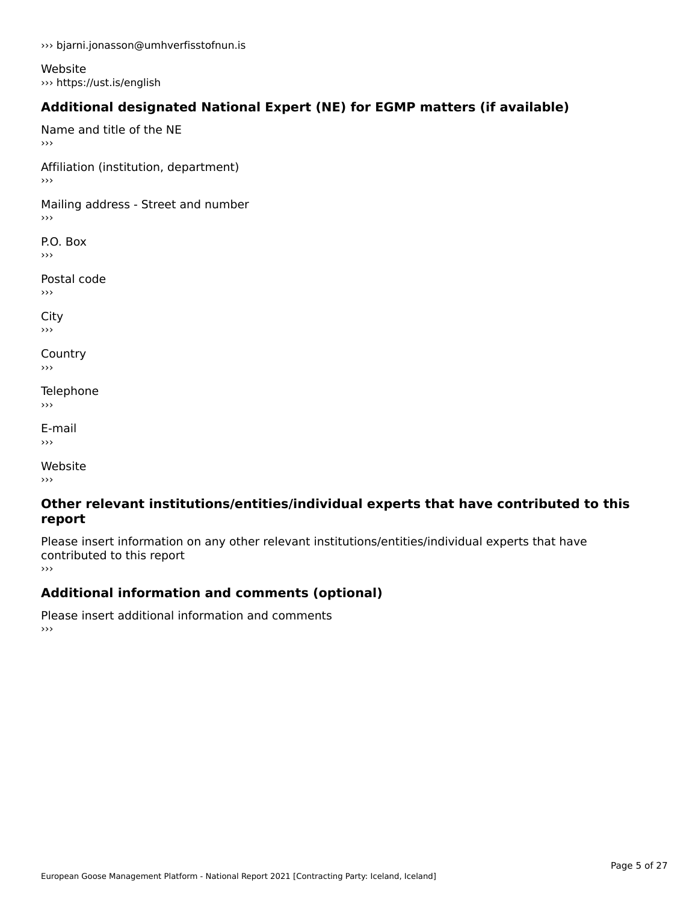››› bjarni.jonasson@umhverfisstofnun.is

Website ››› https://ust.is/english

# **Additional designated National Expert (NE) for EGMP matters (if available)**

Name and title of the NE›››

Affiliation (institution, department) ›››

Mailing address - Street and number

P.O. Box ›››

Postal code›››

City

**Country**  $\rightarrow$   $>$ 

Telephone ›››

E-mail›››

Website›››

#### **Other relevant institutions/entities/individual experts that have contributed to this report**report

Please insert information on any other relevant institutions/entities/individual experts that have contributed to this report ›››

**Additional information and comments (optional)**

Please insert additional information and comments ››› $\rightarrow$   $>$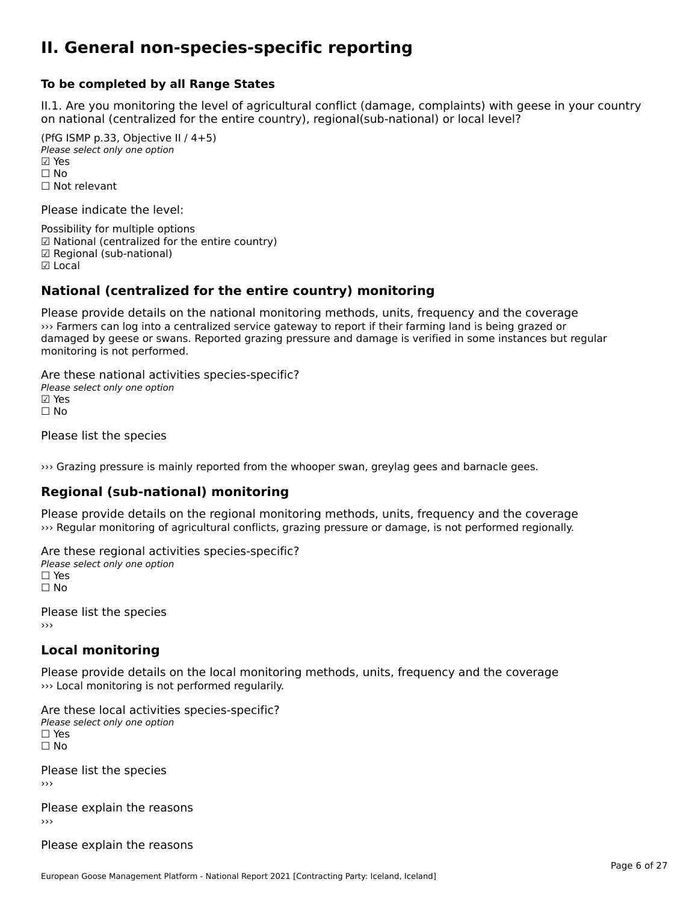#### **II. General non-species-specific reporting**

#### **To be completed by all Range States**

II.1. Are you monitoring the level of agricultural conflict (damage, complaints) with geese in your country n.i. Are you monitoring the lever or agricultural connict (damage, complaints) with g<br>on national (centralized for the entire country), regional(sub-national) or local level?

(PfG ISMP p.33, Objective II  $(4+5)$ ) Please select only one option ☑ Yes**☑ Yes**<br>□ No □ No<br>□ Not relevant

Please indicate the level:

Possibility for multiple options ™ USSIDING TO Multiple options<br>
□ National (centralized for the entire country) **☑ Regional (sub-national)**<br>☑ Local

#### **National (centralized for the entire country) monitoring**

Please provide details on the national monitoring methods, units, frequency and the coverage ››› Farmers can log into a centralized service gateway to report if their farming land is being grazed or when tarniers can fog filto a centralized service gateway to report if their familing faild is being grazed of<br>damaged by geese or swans. Reported grazing pressure and damage is verified in some instances but regular monitoring is not performed.

Are these national activities species-specific? Please select only one option ☐ No

Please list the species

››› Grazing pressure is mainly reported from the whooper swan, greylag gees and barnacle gees.

#### **Regional (sub-national) monitoring**

Please provide details on the regional monitoring methods, units, frequency and the coverage ››› Regular monitoring of agricultural conflicts, grazing pressure or damage, is not performed regionally.

Are these regional activities species-specific? ∩ne enese regional activ<br>Please select only one option □ Yes<br>□ No

Please list the species ›››

### **Local monitoring**

Please provide details on the local monitoring methods, units, frequency and the coverage ››› Local monitoring is not performed regularily.

Are these local activities species-specific? ∩ne these local detivities<br>Please select only one option □ Yes<br>□ No

Please list the species ›››

Please explain the reasons›››

Please explain the reasons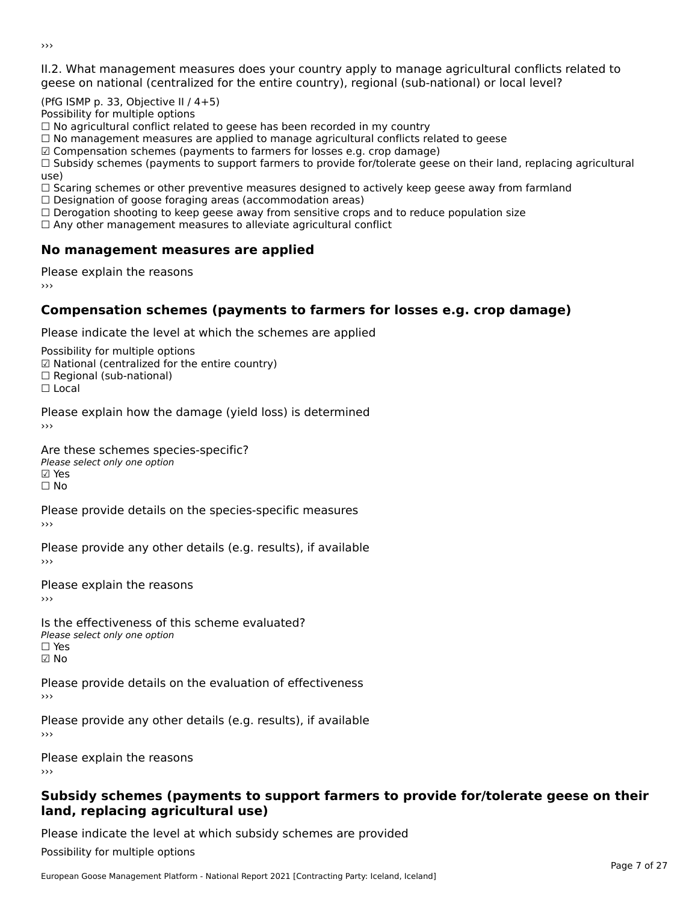II.2. What management measures does your country apply to manage agricultural conflicts related to

(PfG ISMP p. 33, Objective II / 4+5)

Possibility for multiple options

rossibility for multiple options<br>□ No agricultural conflict related to geese has been recorded in my country

 $\Box$  No management measures are applied to manage agricultural conflicts related to geese

☑ Compensation schemes (payments to farmers for losses e.g. crop damage)

© Compensation schemes (payments to familers for losses e.g. crop damage)<br>□ Subsidy schemes (payments to support farmers to provide for/tolerate geese on their land, replacing agricultural

use,<br>□ Scaring schemes or other preventive measures designed to actively keep geese away from farmland

 $\Box$  Designation of goose foraging areas (accommodation areas)

□ Designation of goose foraging areas (accommodation areas)<br>□ Derogation shooting to keep geese away from sensitive crops and to reduce population size

 $\Box$  Any other management measures to alleviate agricultural conflict

### **No management measures are applied**

Please explain the reasons ›››

# **Compensation schemes (payments to farmers for losses e.g. crop damage)**

Please indicate the level at which the schemes are applied

Possibility for multiple options rossibility for multiple options<br>☑ National (centralized for the entire country) **□ Regional (centranzed to**<br>□ Regional (sub-national)

☐ Local

Please explain how the damage (yield loss) is determined

#### Are these schemes species-specific?

Please select only one option ☑ Yes☑ Yes<br>Π No

Please provide details on the species-specific measures

Please provide any other details (e.g. results), if available

Please explain the reasons›››

Is the effectiveness of this scheme evaluated? □ CIC CILCCLIVENC55 OF C<br>Please select only one option  $\square$  Yes ☑ No

Please provide details on the evaluation of effectiveness

Please provide any other details (e.g. results), if available

Please explain the reasons

#### **Subsidy schemes (payments to support farmers to provide for/tolerate geese on their land, replacing agricultural use)**land, replacing agricultural use)

Please indicate the level at which subsidy schemes are provided

Possibility for multiple options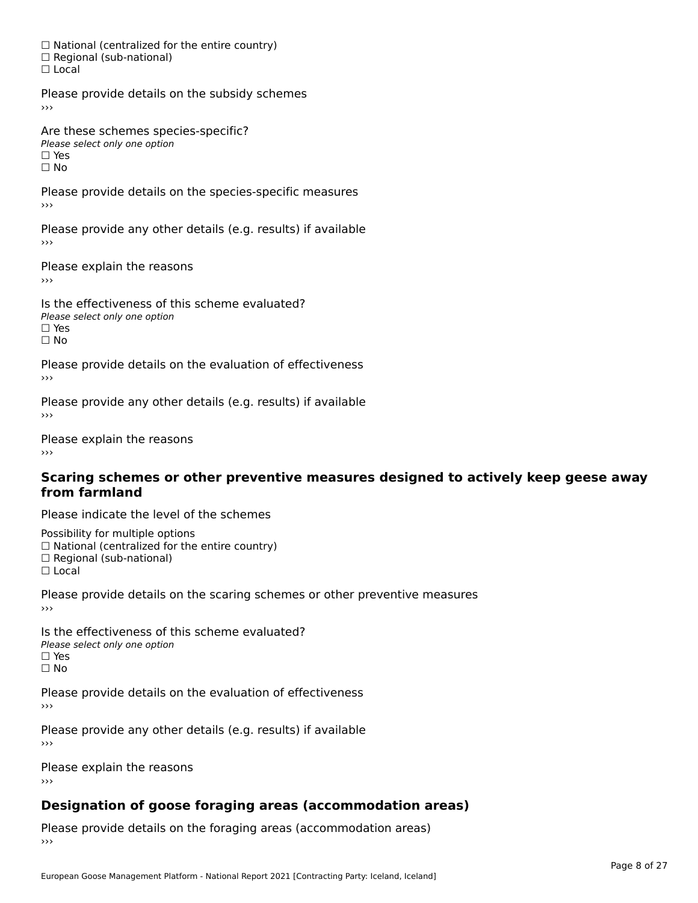☐ National (centralized for the entire country) □ National (centralized io<br>□ Regional (sub-national) ☐ Local

Please provide details on the subsidy schemes

Are these schemes species-specific?∩ne these senemes spee<br>Please select only one option □ Yes<br>□ No

Please provide details on the species-specific measures ›››

Please provide any other details (e.g. results) if available

Please explain the reasons

Is the effectiveness of this scheme evaluated?Please select only one option ☐ Yesים וכ<br>⊡ No

Please provide details on the evaluation of effectiveness

Please provide any other details (e.g. results) if available

Please explain the reasons

#### **Scaring schemes or other preventive measures designed to actively keep geese away from farmland**

Please indicate the level of the schemes

Possibility for multiple options rossibility for multiple options<br>□ National (centralized for the entire country)

□ Rational (centralized io<br>□ Regional (sub-national)

 $\Box$  Local

Please provide details on the scaring schemes or other preventive measures

Is the effectiveness of this scheme evaluated?□ CITC CITCCLIVERESS OF C<br>Please select only one option □ Yes<br>□ No

Please provide details on the evaluation of effectiveness

Please provide any other details (e.g. results) if available

Please explain the reasons›››

### **Designation of goose foraging areas (accommodation areas)**

Please provide details on the foraging areas (accommodation areas)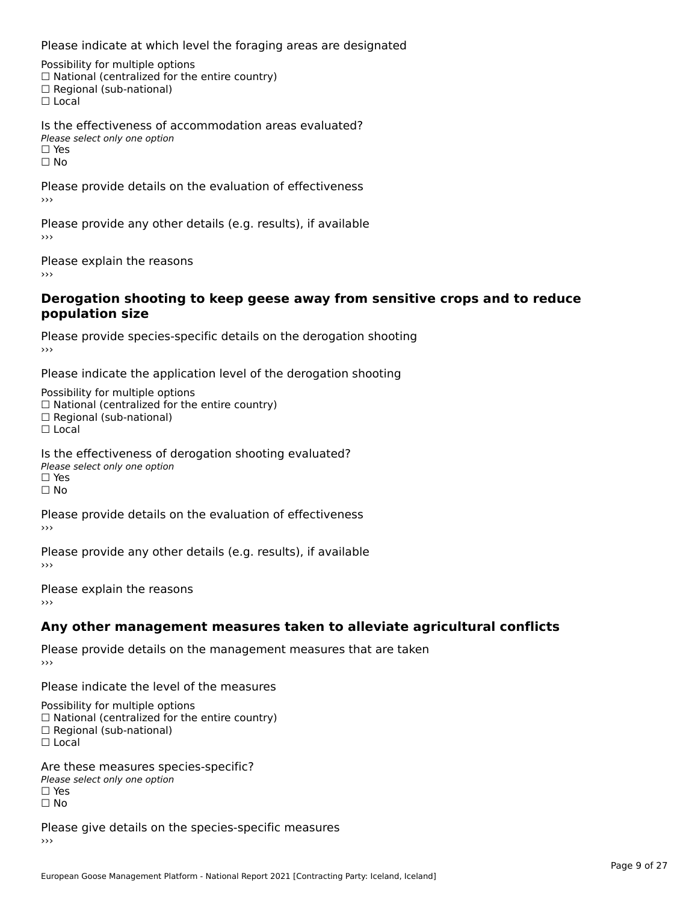Please indicate at which level the foraging areas are designated

Possibility for multiple options rossibility for multiple options<br>□ National (centralized for the entire country) □ Regional (sub-national)<br>□ Regional (sub-national)

Is the effectiveness of accommodation areas evaluated?Please select only one option ☐ Yesים וכ<br>⊡ No

Please provide details on the evaluation of effectiveness

Please provide any other details (e.g. results), if available

Please explain the reasons›››

#### **Derogation shooting to keep geese away from sensitive crops and to reduce population size**population size

Please provide species-specific details on the derogation shooting ›››

Please indicate the application level of the derogation shooting

Possibility for multiple options rossibility for multiple options<br>□ National (centralized for the entire country) □ Rational (centralized io<br>□ Regional (sub-national)

 $\Box$  Local

Is the effectiveness of derogation shooting evaluated?

Please select only one option

☐ Yes

ים<br>⊡ No

Please provide details on the evaluation of effectiveness

Please provide any other details (e.g. results), if available

Please explain the reasons

### **Any other management measures taken to alleviate agricultural conflicts**

Please provide details on the management measures that are taken ›››

Please indicate the level of the measures

Possibility for multiple options

™assibility for multiple options<br>□ National (centralized for the entire country)

□ National (centralized io<br>□ Regional (sub-national)

☐ Local

Are these measures species-specific?Please select only one option

☐ Yes☐ No

Please give details on the species-specific measures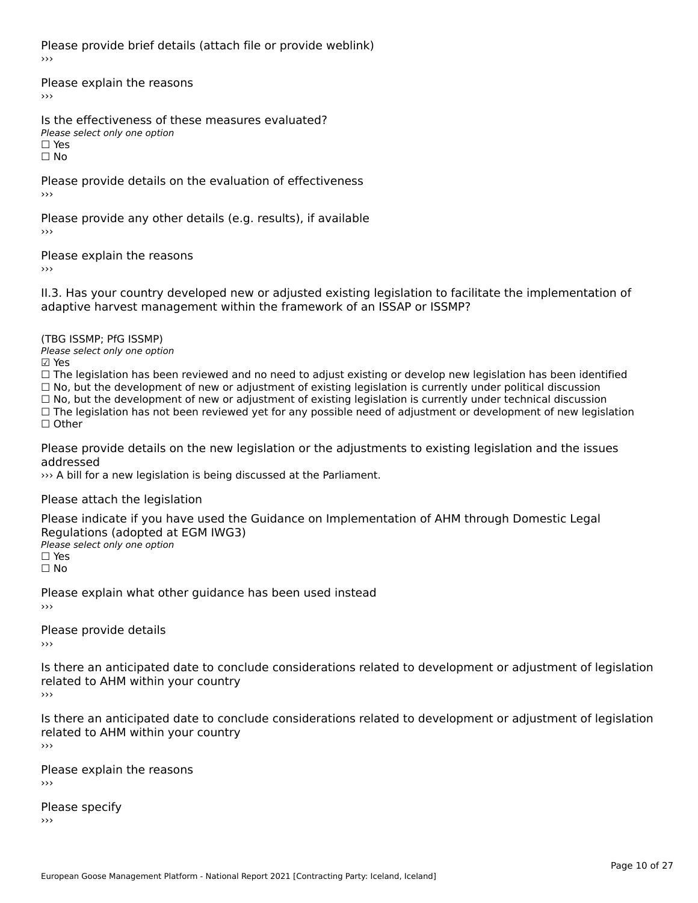Please provide brief details (attach file or provide weblink)›››

Please explain the reasons›››

Is the effectiveness of these measures evaluated?Please select only one option☐ Yes☐ No

Please provide details on the evaluation of effectiveness

Please provide any other details (e.g. results), if available

Please explain the reasons›››

II.3. Has your country developed new or adjusted existing legislation to facilitate the implementation of

(TBG ISSMP; PfG ISSMP)

Please select only one option ☑ Yes

☐ The legislation has been reviewed and no need to adjust existing or develop new legislation has been identified ☐ No, but the development of new or adjustment of existing legislation is currently under political discussion ☐ No, but the development of new or adjustment of existing legislation is currently under technical discussion

 $\Box$  No, but the development of new or adjustment of existing legislation is currently under technical discussion

□ No, but the development of hew or adjustment of existing regislation is currently under technical discussion<br>□ The legislation has not been reviewed yet for any possible need of adjustment or development of new legislat

Please provide details on the new legislation or the adjustments to existing legislation and the issues

››› A bill for a new legislation is being discussed at the Parliament.

Please attach the legislation

Please indicate if you have used the Guidance on Implementation of AHM through Domestic Legal Piease indicate if you have used the<br>Regulations (adopted at EGM IWG3) Please select only one option

☐ Yes☐ No

Please explain what other guidance has been used instead

Please provide details

Is there an anticipated date to conclude considerations related to development or adjustment of legislation iciaca commi widiin your council

Is there an anticipated date to conclude considerations related to development or adjustment of legislation is there an anticipated date to control<br>related to AHM within your country

Please explain the reasons

Please specify›››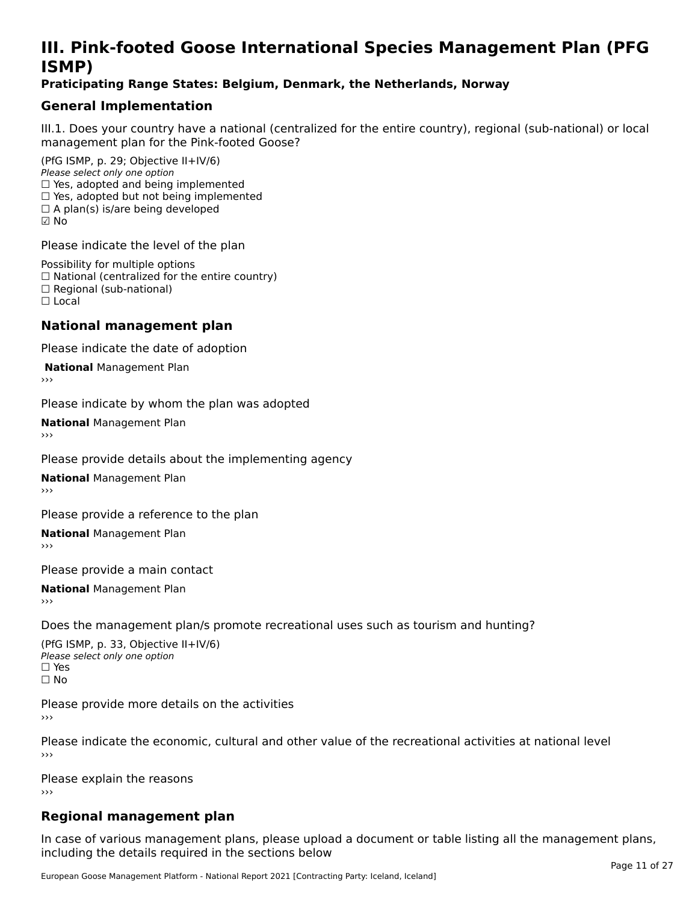# **III. Pink-footed Goose International Species Management Plan (PFG**III. FII<br>ICMAD)

### **Praticipating Range States: Belgium, Denmark, the Netherlands, Norway**

### **General Implementation**

III.1. Does your country have a national (centralized for the entire country), regional (sub-national) or local

(PfG ISMP, p. 29; Objective II+IV/6) Please select only one option *Please select only one option*<br>□ Yes, adopted and being implemented  $\Box$  ies, adopted and being implemented<br> $\Box$  Yes, adopted but not being implemented  $\Box$  A plan(s) is/are being developed ☑ No

Please indicate the level of the plan

Possibility for multiple options rossibility for multiple options<br>□ National (centralized for the entire country) □ National (centralized io<br>□ Regional (sub-national) ☐ Local

#### **National management plan**

Please indicate the date of adoption

**National Management Plan** 

Please indicate by whom the plan was adopted

**National** Management Plan

Please provide details about the implementing agency

**National** Management Plan

Please provide a reference to the plan

**National** Management Plan

Please provide a main contact

**National** Management Plan

Does the management plan/s promote recreational uses such as tourism and hunting?

(PfG ISMP, p. 33, Objective II+IV/6) Please select only one optionPlease select only one option  $\square$  Yes ☐ No

Please provide more details on the activities›››

Please indicate the economic, cultural and other value of the recreational activities at national level

Please explain the reasons ›››

# **Regional management plan**

In case of various management plans, please upload a document or table listing all the management plans, $\frac{1}{2}$  case of various management plans, please uploa including the details required in the sections below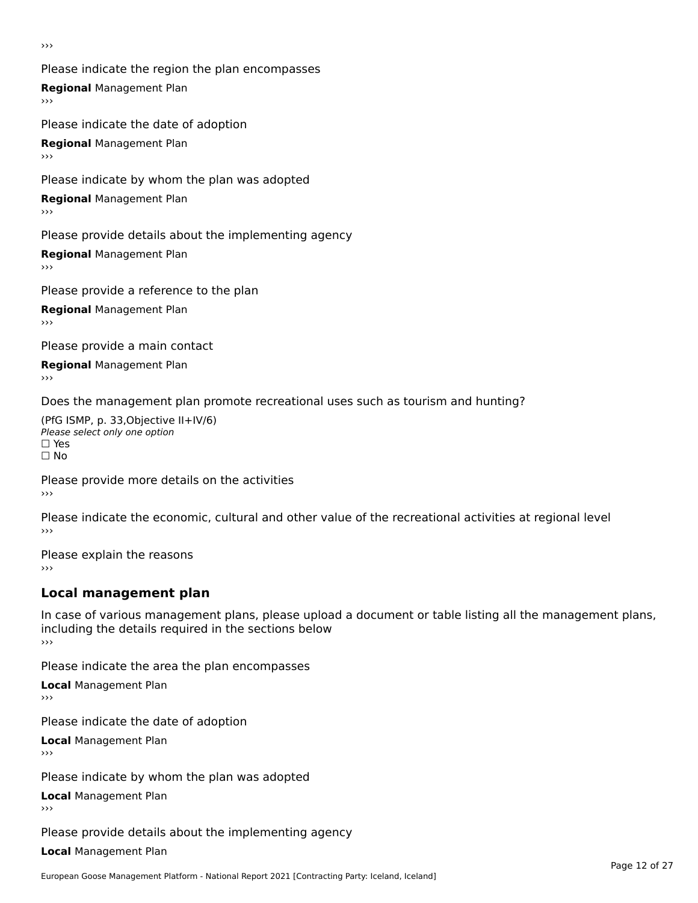›››

Please indicate the region the plan encompasses **Regional** Management Plan Please indicate the date of adoption

**Regional** Management Plan

Please indicate by whom the plan was adopted

**Regional** Management Plan

Please provide details about the implementing agency

**Regional** Management Plan

Please provide a reference to the plan

**Regional** Management Plan

Please provide a main contact

**Regional** Management Plan

Does the management plan promote recreational uses such as tourism and hunting?

(PfG ISMP, p. 33,Objective II+IV/6) ∩∩ וויוכו פון<br>Please select only one option<br>□ Yes □ Yes<br>□ No

Please provide more details on the activities ›››

Please indicate the economic, cultural and other value of the recreational activities at regional level

Please explain the reasons ›››

# **Local management plan**

In case of various management plans, please upload a document or table listing all the management plans, in case or various management plans, please uploa<br>including the details required in the sections below ›››

Please indicate the area the plan encompasses

**Local** Management Plan

Please indicate the date of adoption

**Local** Management Plan›››

Please indicate by whom the plan was adopted

**Local** Management Plan

Please provide details about the implementing agency

**Local** Management Plan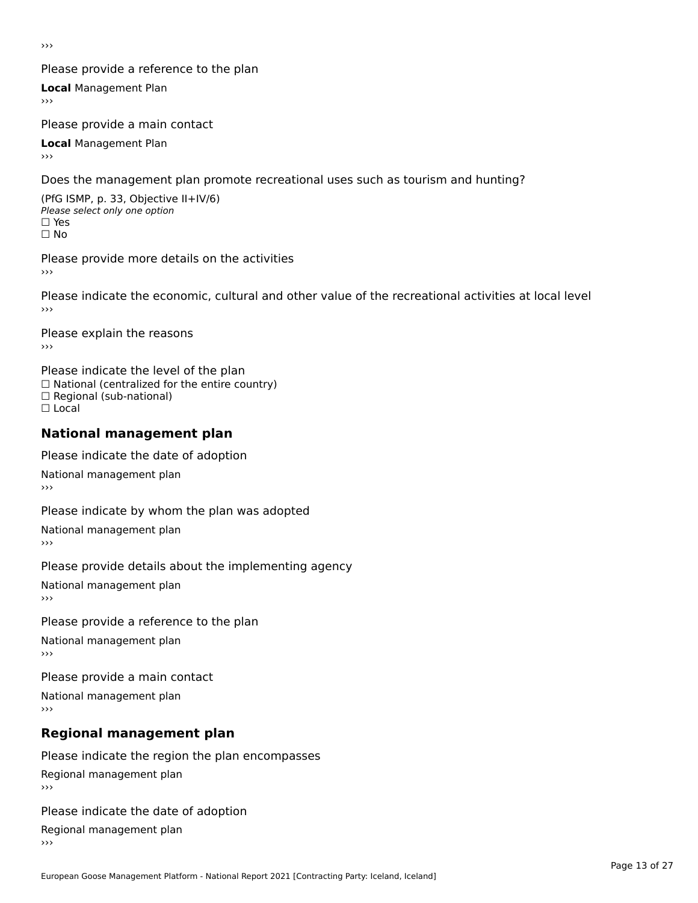›››

### Please provide a reference to the plan

**Local** Management Plan

Please provide a main contact

**Local** Management Plan

Does the management plan promote recreational uses such as tourism and hunting?

(PfG ISMP, p. 33, Objective II+IV/6) Please select only one option☐ Yes☐ No

Please provide more details on the activities

Please indicate the economic, cultural and other value of the recreational activities at local level

Please explain the reasons ›››

Please indicate the level of the plan ∩ease marcate the lever of the plan<br>□ National (centralized for the entire country) □ National (centralized io<br>□ Regional (sub-national) ☐ Local

#### **National management plan**

Please indicate the date of adoption

National management plan

Please indicate by whom the plan was adopted

National management plan

Please provide details about the implementing agency

National management plan

Please provide a reference to the plan

National management plan

Please provide a main contact

National management plan

# **Regional management plan**

Please indicate the region the plan encompasses Regional management plan

Please indicate the date of adoption

Regional management plan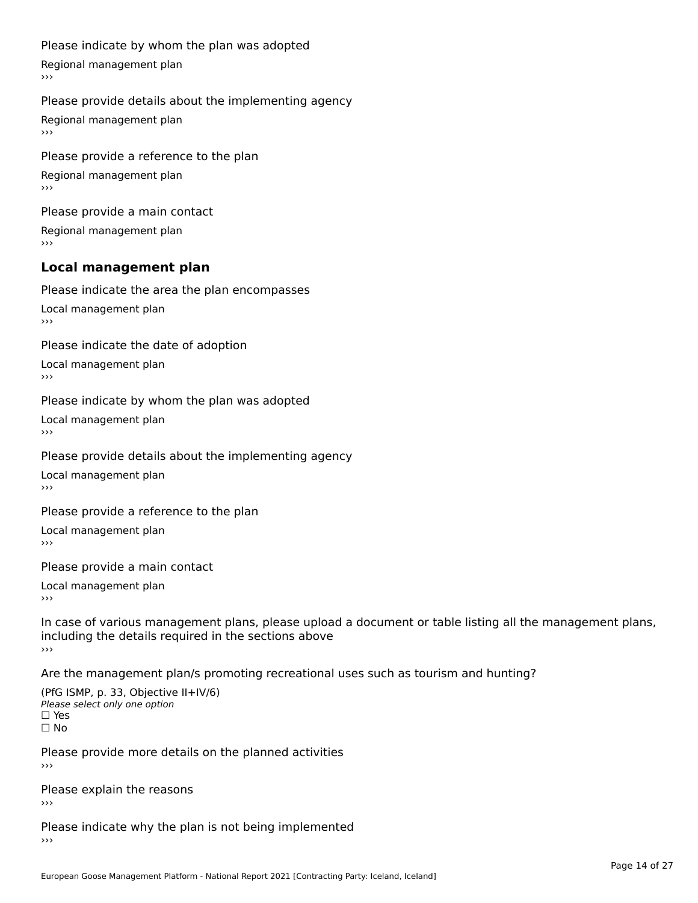#### Please indicate by whom the plan was adopted

Regional management plan

#### Please provide details about the implementing agency

Regional management plan

Please provide a reference to the plan Regional management plan

Please provide a main contact Regional management plan

#### **Local management plan**

Please indicate the area the plan encompasses

Local management plan $\overline{\phantom{a}}$  $\rightarrow$   $>$ 

Please indicate the date of adoption

Local management plan $\overline{v}$ 

Please indicate by whom the plan was adopted Local management plan›››

Please provide details about the implementing agency

Local management plan $\overline{v}$ 

Please provide a reference to the plan

Local management plan›››

Please provide a main contact

Local management plan $\overline{v}$ 

In case of various management plans, please upload a document or table listing all the management plans,in case or various management plans, please upload including the details required in the sections above<br>>>>

Are the management plan/s promoting recreational uses such as tourism and hunting?

(PfG ISMP, p. 33, Objective II+IV/6) Please select only one option☐ Yes☐ No

Please provide more details on the planned activities

Please explain the reasons›››

Please indicate why the plan is not being implemented›››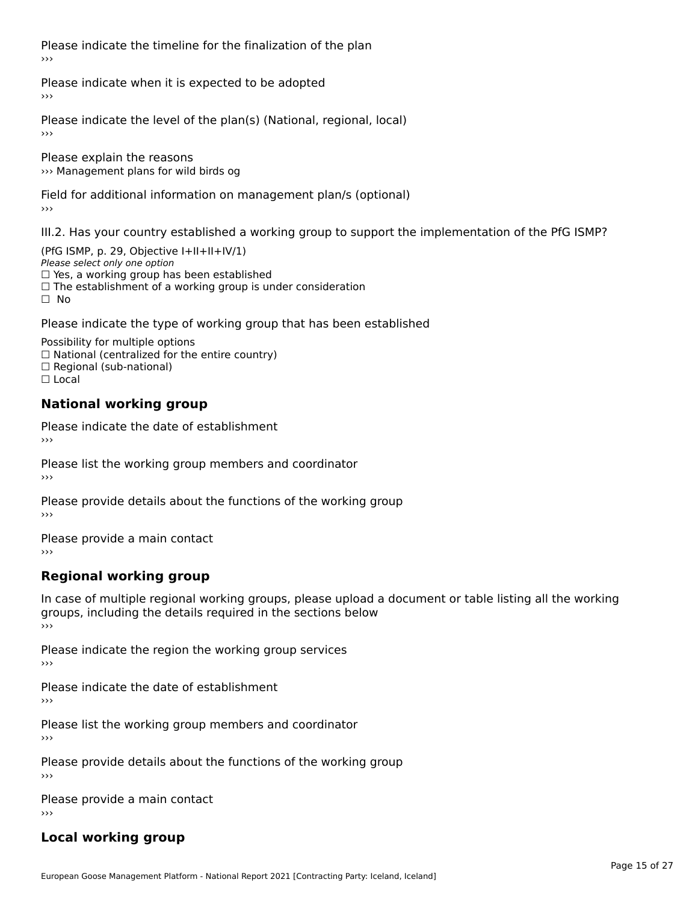Please indicate the timeline for the finalization of the plan›››

Please indicate when it is expected to be adopted

Please indicate the level of the plan(s) (National, regional, local)

Please explain the reasons ››› Management plans for wild birds og

Field for additional information on management plan/s (optional)

III.2. Has your country established a working group to support the implementation of the PfG ISMP?

(PfG ISMP, p. 29, Objective  $I+II+II+IV/1$ ) Please select only one option □ Yes, a working group has been established □ Tes, a working group has been established<br>□ The establishment of a working group is under consideration

Please indicate the type of working group that has been established

Possibility for multiple options  $\Box$  National (centralized for the entire country)  $\Box$  Regional (sub-national)  $\Box$  Local

#### **National working group**

Please indicate the date of establishment›››

Please list the working group members and coordinator ›››

Please provide details about the functions of the working group ›››

Please provide a main contact ›››

# **Regional working group**

In case of multiple regional working groups, please upload a document or table listing all the working In case of multiple regional working groups, please upload a<br>groups, including the details required in the sections below ›››

Please indicate the region the working group services ›››

Please indicate the date of establishment ›››

Please list the working group members and coordinator ›››

Please provide details about the functions of the working group ›››

Please provide a main contact ›››

# **Local working group**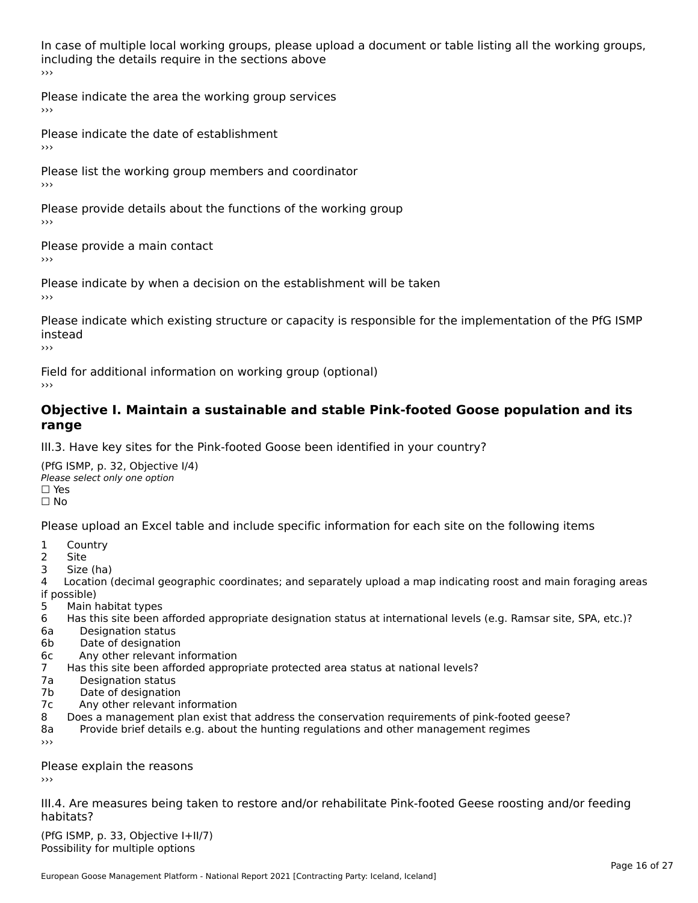In case of multiple local working groups, please upload a document or table listing all the working groups, including the details require in the sections above<br>>>>

Please indicate the area the working group services ›››

Please indicate the date of establishment ›››

Please list the working group members and coordinator ›››

Please provide details about the functions of the working group ›››

Please provide a main contact ›››

Please indicate by when a decision on the establishment will be taken

Please indicate which existing structure or capacity is responsible for the implementation of the PfG ISMP instead

Field for additional information on working group (optional)

#### **Objective I. Maintain a sustainable and stable Pink-footed Goose population and its range**range

III.3. Have key sites for the Pink-footed Goose been identified in your country?

(PfG ISMP, p. 32, Objective I/4)Please select only one option ☐ Yes☐ No

Please upload an Excel table and include specific information for each site on the following items

- $1 \quad \alpha$
- 2 Site
- 2 Site<br>3 Size (ha)

د حدد una<br>4 Location (decimal geographic coordinates; and separately upload a map indicating roost and main foraging areas 4 Location<br>if possible)

- 5 Main habitat types
- 6 Has this site been afforded appropriate designation status at international levels (e.g. Ramsar site, SPA, etc.)? 6. Bestweetter status
- 6a Designation status<br>6b Date of designation
- 
- 6c Any other relevant information
- 7 Has this site been afforded appropriate protected area status at national levels? 7a Designation status
- 7a Designation status<br>7b Date of designation
- 
- 7c Any other relevant information
- 8 Does a management plan exist that address the conservation requirements of pink-footed geese?
- 8a Provide brief details e.g. about the hunting regulations and other management regimes ›››

Please explain the reasons

III.4. Are measures being taken to restore and/or rehabilitate Pink-footed Geese roosting and/or feeding habitats?

 $(PCI GMP, p. 33, Qb)$  is the I+II/7) Possibility for multiple optionsPossibility for multiple options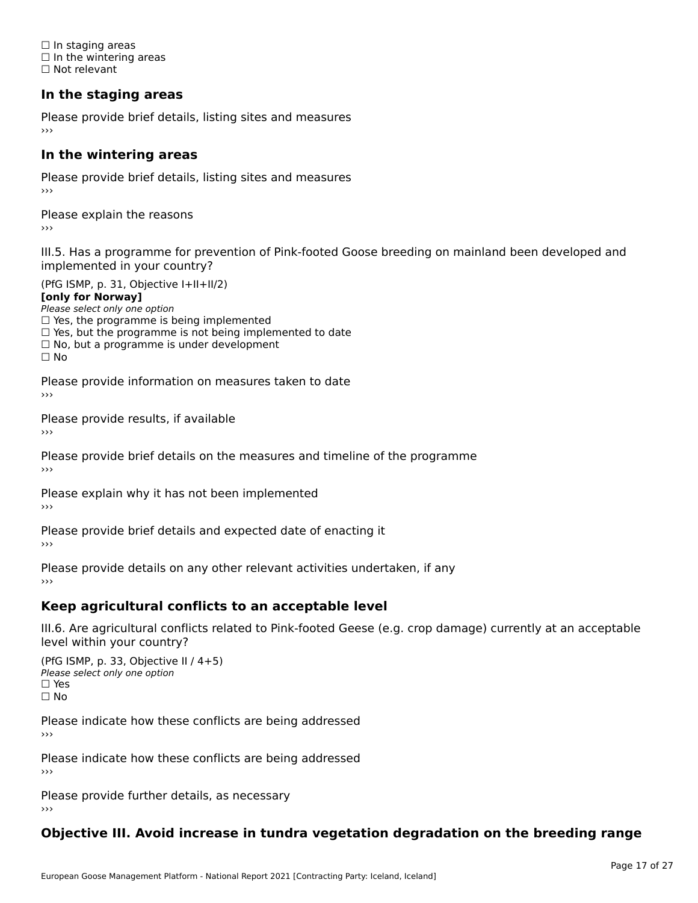☐ In staging areas □ in staging areas<br>□ In the wintering areas ☐ Not relevant

# **In the staging areas**

Please provide brief details, listing sites and measures ›››

#### **In the wintering areas**

Please provide brief details, listing sites and measures ›››

Please explain the reasons

III.5. Has a programme for prevention of Pink-footed Goose breeding on mainland been developed and

(PfG ISMP, p. 31, Objective I+II+II/2)

**[only for Norway]**

Please select only one option riease select only one option<br>□ Yes, the programme is being implemented

 $\Box$  ies, the programme is being implemented to date  $\Box$  Yes, but the programme is not being implemented to date

 $\Box$  No, but a programme is under development

Please provide information on measures taken to date

Please provide results, if available

Please provide brief details on the measures and timeline of the programme›››

Please explain why it has not been implemented

Please provide brief details and expected date of enacting it

Please provide details on any other relevant activities undertaken, if any›››

### **Keep agricultural conflicts to an acceptable level**

III.6. Are agricultural conflicts related to Pink-footed Geese (e.g. crop damage) currently at an acceptable

(PfG ISMP, p. 33, Objective II / 4+5)Please select only one option ☐ Yes☐ No

Please indicate how these conflicts are being addressed

Please indicate how these conflicts are being addressed›››

Please provide further details, as necessary ›››

#### **Objective III. Avoid increase in tundra vegetation degradation on the breeding range**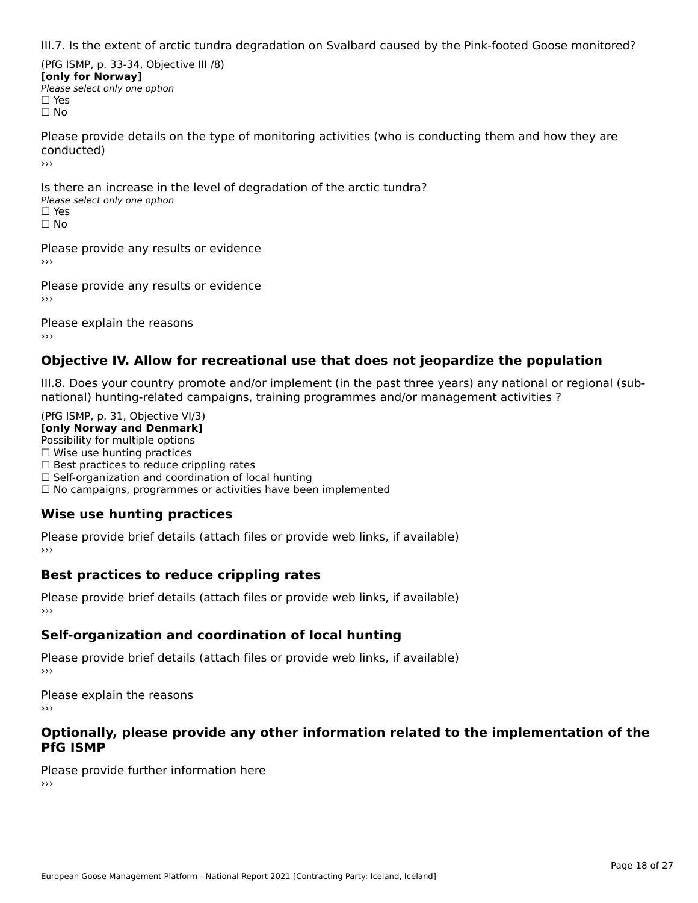III.7. Is the extent of arctic tundra degradation on Svalbard caused by the Pink-footed Goose monitored?

(PfG ISMP, p. 33-34, Objective III /8) **[only for Norway] Please select only one option** □ Yes<br>□ No

Please provide details on the type of monitoring activities (who is conducting them and how they are conducted)›››

Is there an increase in the level of degradation of the arctic tundra? □ CitCre dir increduce in c<br>Please select only one option □ Yes<br>□ No

Please provide any results or evidence

Please provide any results or evidence

Please explain the reasons›››

### **Objective IV. Allow for recreational use that does not jeopardize the population**

III.8. Does your country promote and/or implement (in the past three years) any national or regional (sub $m.6.198$  your country promove and/or miplement (in the past time years) any national or national) hunting-related campaigns, training programmes and/or management activities ?

(PfG ISMP, p. 31, Objective VI/3) **[only Norway and Denmark]** Possibility for multiple options ☐ Wise use hunting practices  $\Box$  wise use numing practices<br> $\Box$  Best practices to reduce crippling rates □ Best practices to reduce crippinig rates<br>□ Self-organization and coordination of local hunting □ Sen-organization and coordination or local nunting<br>□ No campaigns, programmes or activities have been implemented

# **Wise use hunting practices**

Please provide brief details (attach files or provide web links, if available) ›››

### **Best practices to reduce crippling rates**

Please provide brief details (attach files or provide web links, if available)

# **Self-organization and coordination of local hunting**

Please provide brief details (attach files or provide web links, if available)

Please explain the reasons›››

#### **Optionally, please provide any other information related to the implementation of the PfG ISMP**

Please provide further information here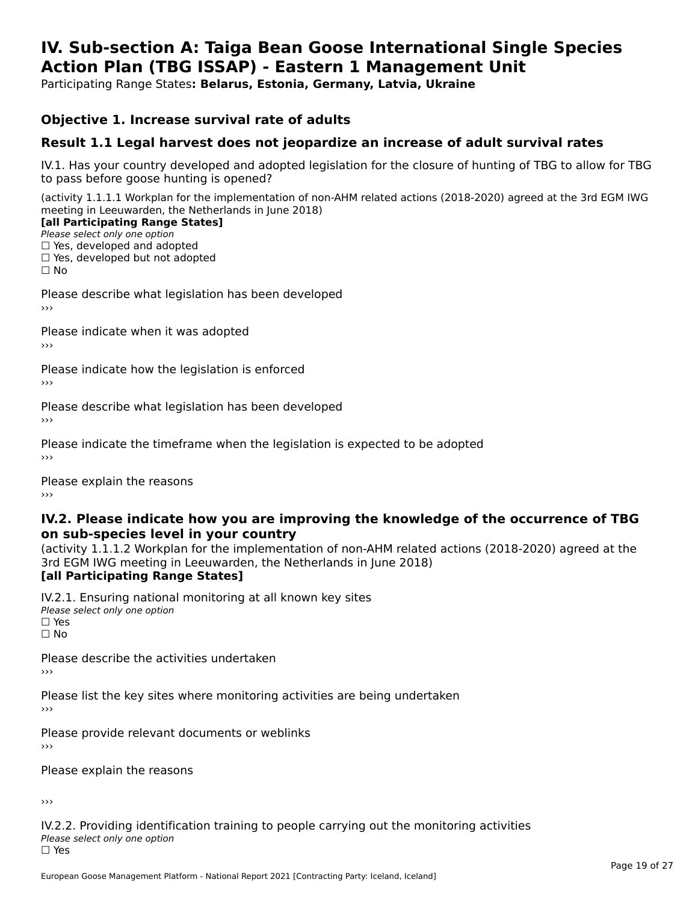#### **IV. Sub-section A: Taiga Bean Goose International Single Species Action Plan (TBG ISSAP) - Eastern 1 Management UnitAction Plan (TBG ISSAP) - Eastern 1 Management Unit**

Participating Range States**: Belarus, Estonia, Germany, Latvia, Ukraine** 

### **Objective 1. Increase survival rate of adults**

### **Result 1.1 Legal harvest does not jeopardize an increase of adult survival rates**

IV.1. Has your country developed and adopted legislation for the closure of hunting of TBG to allow for TBG IV.1. Thas your country developed and add<br>to pass before goose hunting is opened?

(activity 1.1.1.1 Workplan for the implementation of non-AHM related actions (2018-2020) agreed at the 3rd EGM IWG meeting in Leeuwarden, the Netherlands in June 2018)

#### [all Participating Range States]

Please select only one option ☐ Yes, developed and adopted

 ☐ Yes, developed but not adopted $\Box$  ies, developed but not adopted

Please describe what legislation has been developed

Please indicate when it was adopted

Please indicate how the legislation is enforced

Please describe what legislation has been developed

Please indicate the timeframe when the legislation is expected to be adopted

Please explain the reasons

#### **IV.2. Please indicate how you are improving the knowledge of the occurrence of TBGon sub-species level in your country**on sub-species level in your country

on sub-species fever in your country<br>(activity 1.1.1.2 Workplan for the implementation of non-AHM related actions (2018-2020) agreed at the **Brd EGM IWG meeting in Leeuwarden, the Netherlands in June 2018)** 

#### [all Participating Range States]

IV.2.1. Ensuring national monitoring at all known key sites <del>■ Western Chroning</del> Hational<br>Please select only one option □ Yes<br>□ No

Please describe the activities undertaken

Please list the key sites where monitoring activities are being undertaken

Please provide relevant documents or weblinks

Please explain the reasons

›››

IV.2.2. Providing identification training to people carrying out the monitoring activities Please select only one option<br>□ Yes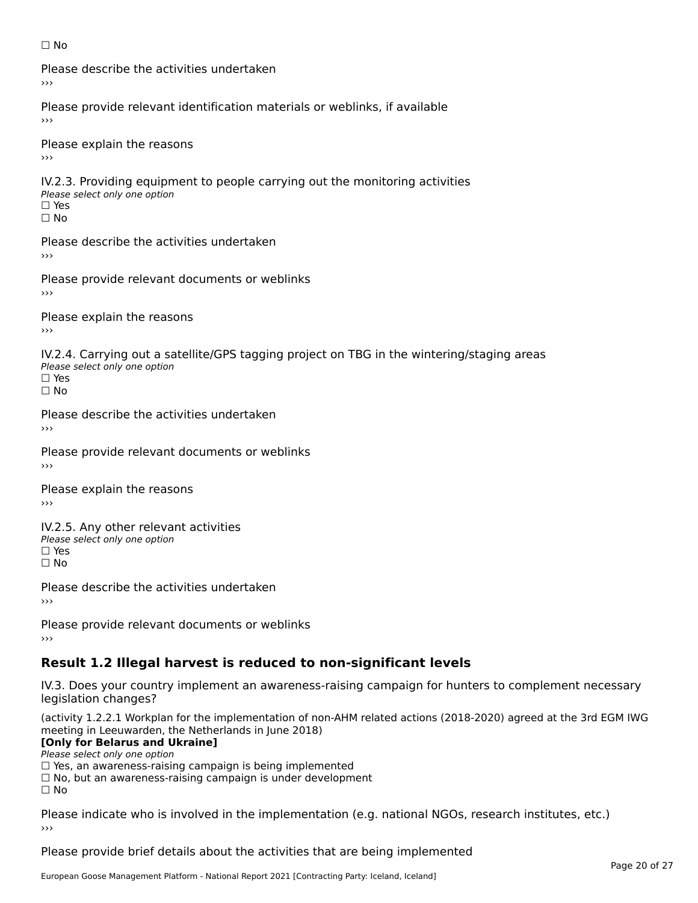#### ☐ No

Please describe the activities undertaken›››

Please provide relevant identification materials or weblinks, if available

Please explain the reasons

IV.2.3. Providing equipment to people carrying out the monitoring activities Please select only one option ☐ Yes□ Yes<br>□ No

Please describe the activities undertaken›››

Please provide relevant documents or weblinks

Please explain the reasons ›››

IV.2.4. Carrying out a satellite/GPS tagging project on TBG in the wintering/staging areas <del>∩</del><br>Please select only one option □ Yes<br>□ No

Please describe the activities undertaken›››

Please provide relevant documents or weblinks

Please explain the reasons

IV.2.5. Any other relevant activities Please select only one option ☐ Yes□ Yes<br>□ No

Please describe the activities undertaken›››

Please provide relevant documents or weblinks

# **Result 1.2 Illegal harvest is reduced to non-significant levels**

IV.3. Does your country implement an awareness-raising campaign for hunters to complement necessary rv.5. Does your court<br>legislation changes?

(activity 1.2.2.1 Workplan for the implementation of non-AHM related actions (2018-2020) agreed at the 3rd EGM IWG meeting in Leeuwarden, the Netherlands in June 2018)

#### **[Only for Belarus and Ukraine]**

**LOTTLY TOT Detailed and O**<br>Please select only one option

riease select only one option<br>□ Yes, an awareness-raising campaign is being implemented

□ No, but an awareness-raising campaign is under development<br>□ N。

 $\Box$  No

Please indicate who is involved in the implementation (e.g. national NGOs, research institutes, etc.)

Please provide brief details about the activities that are being implemented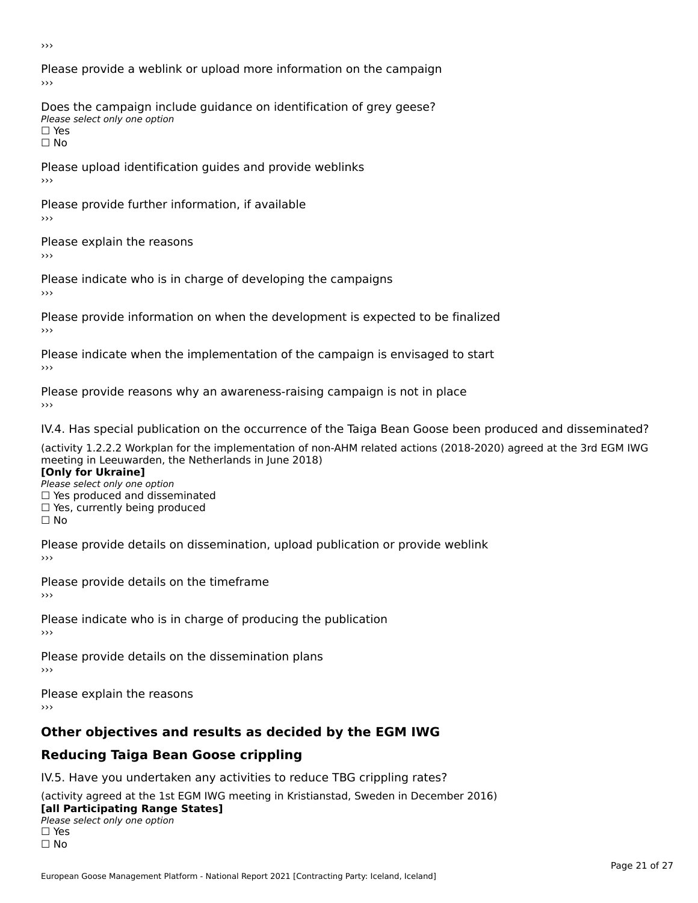›››

Please provide a weblink or upload more information on the campaign›››

Does the campaign include guidance on identification of grey geese? Please select only one option<br>□ Yes □ Yes<br>□ No

Please upload identification guides and provide weblinks ›››

Please provide further information, if available

Please explain the reasons

Please indicate who is in charge of developing the campaigns

Please provide information on when the development is expected to be finalized ›››

Please indicate when the implementation of the campaign is envisaged to start

Please provide reasons why an awareness-raising campaign is not in place

IV.4. Has special publication on the occurrence of the Taiga Bean Goose been produced and disseminated?

(activity 1.2.2.2 Workplan for the implementation of non-AHM related actions (2018-2020) agreed at the 3rd EGM IWG **[Only for Ukraine]**

**□ Yes produced and disseminated**<br>Please select only one option  $\Box$  ies produced and disseminated  $\Box$  ies, currently being produced

Please provide details on dissemination, upload publication or provide weblink

Please provide details on the timeframe

Please indicate who is in charge of producing the publication

Please provide details on the dissemination plans

Please explain the reasons ›››

# **Other objectives and results as decided by the EGM IWG**

# **Reducing Taiga Bean Goose crippling**

IV.5. Have you undertaken any activities to reduce TBG crippling rates?

(activity agreed at the 1st EGM IWG meeting in Kristianstad, Sweden in December 2016) **[all Participating Range States]**

#### [all Participating Range States] **Lan T articipating Range**<br>Please select only one option

□ Yes<br>□ No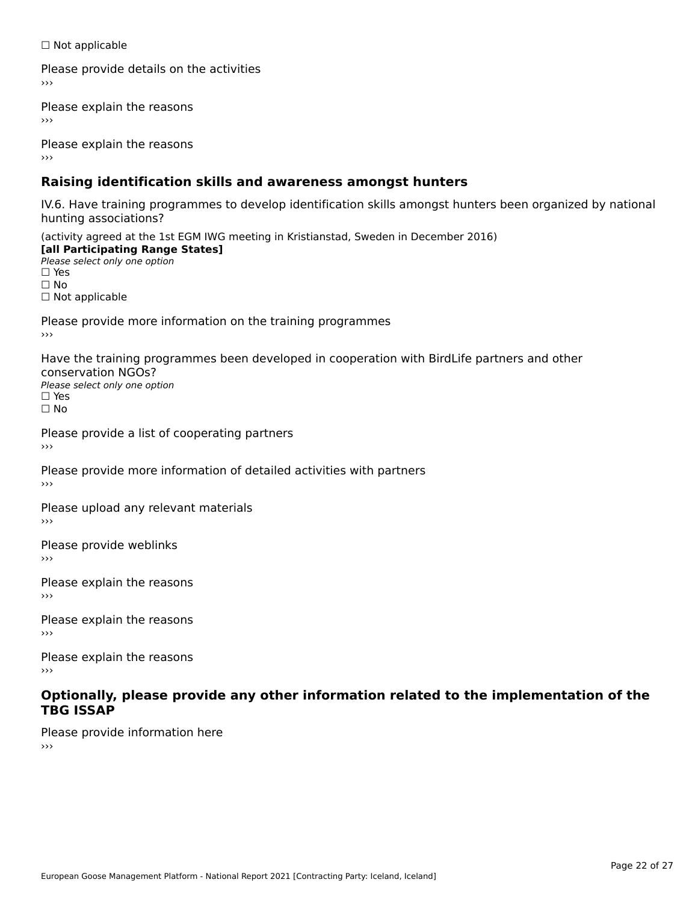☐ Not applicable

Please provide details on the activities

Please explain the reasons

Please explain the reasons

# **Raising identification skills and awareness amongst hunters**

IV.6. Have training programmes to develop identification skills amongst hunters been organized by national rv.o. riave training pro<br>hunting associations?

(activity agreed at the 1st EGM IWG meeting in Kristianstad, Sweden in December 2016) **[all Participating Range States]**[all Participating Range States] **Lan Tarticipating Range**<br>Please select only one option ☐ Yes☐ No□ Not applicable

Please provide more information on the training programmes

Have the training programmes been developed in cooperation with BirdLife partners and other conservation NGOs?Please select only one option☐ Yes☐ No

Please provide a list of cooperating partners

Please provide more information of detailed activities with partners

Please upload any relevant materials

Please provide weblinks

Please explain the reasons

Please explain the reasons›››

Please explain the reasons›››

#### **Optionally, please provide any other information related to the implementation of the TBG ISSAP**

Please provide information here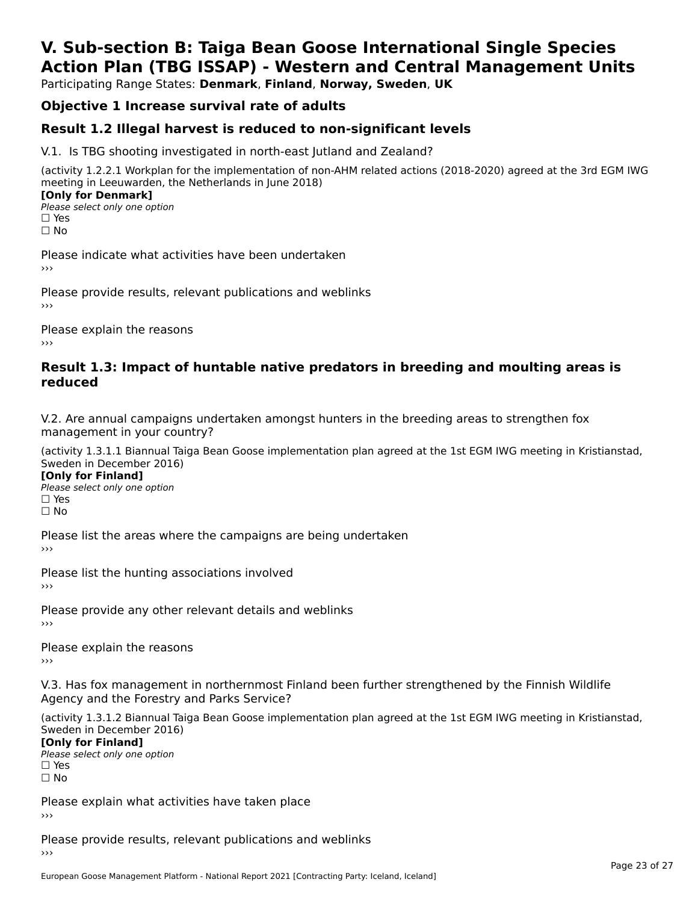# **V. Sub-section B: Taiga Bean Goose International Single SpeciesAction Plan (TBG ISSAP) - Western and Central Management Units**

Participating Range States: **Denmark**, **Finland**, **Norway, Sweden**, **UK**

# **Objective 1 Increase survival rate of adults**

### **Result 1.2 Illegal harvest is reduced to non-significant levels**

V.1. Is TBG shooting investigated in north-east Jutland and Zealand?

(activity 1.2.2.1 Workplan for the implementation of non-AHM related actions (2018-2020) agreed at the 3rd EGM IWG meeting in Leeuwarden, the Netherlands in June 2018) **[Only for Denmark]** 

**□ Please select only one option** □ Yes<br>□ No

Please indicate what activities have been undertaken›››

Please provide results, relevant publications and weblinks ›››

Please explain the reasons›››

#### **Result 1.3: Impact of huntable native predators in breeding and moulting areas is reduced**

V.2. Are annual campaigns undertaken amongst hunters in the breeding areas to strengthen fox v.z. Are annual campaigns und<br>management in your country?

(activity 1.3.1.1 Biannual Taiga Bean Goose implementation plan agreed at the 1st EGM IWG meeting in Kristianstad, Sweden in December 2016)

**[Only for Finland]** Please select only one optionriease<br>□ Yes □ Yes<br>□ No

Please list the areas where the campaigns are being undertaken

Please list the hunting associations involved

Please provide any other relevant details and weblinks ›››

Please explain the reasons

V.3. Has fox management in northernmost Finland been further strengthened by the Finnish Wildlife v.5. Has fox management in northernmost F<br>Agency and the Forestry and Parks Service?

(activity 1.3.1.2 Biannual Taiga Bean Goose implementation plan agreed at the 1st EGM IWG meeting in Kristianstad, Sweden in December 2016) Sweden in December 2016)

[Only for Finland]

**Please select only one option** □ Yes<br>□ No

Please explain what activities have taken place

Please provide results, relevant publications and weblinks ›››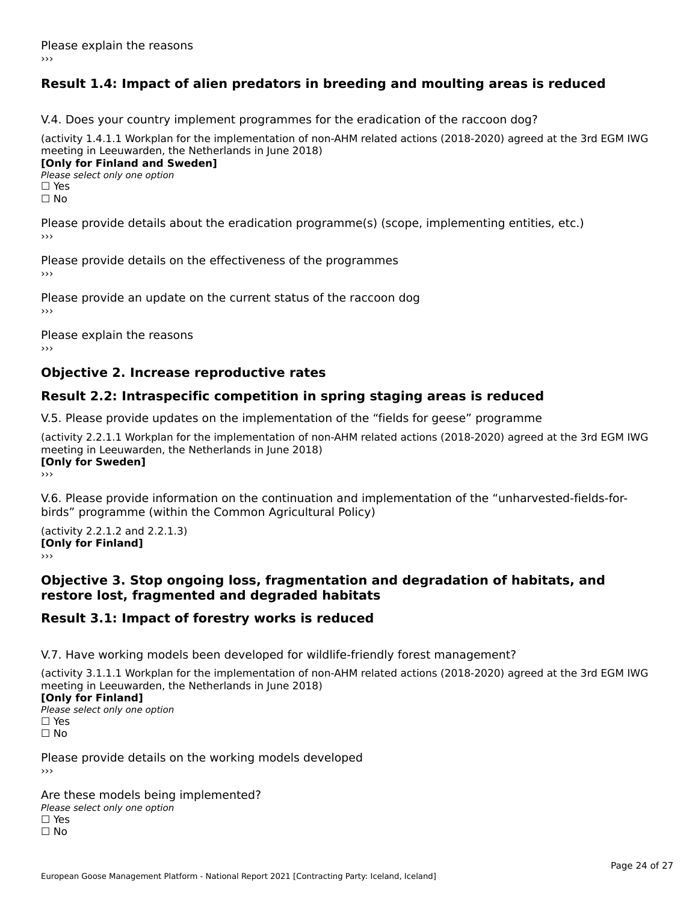# **Result 1.4: Impact of alien predators in breeding and moulting areas is reduced**

V.4. Does your country implement programmes for the eradication of the raccoon dog?

(activity 1.4.1.1 Workplan for the implementation of non-AHM related actions (2018-2020) agreed at the 3rd EGM IWG meeting in Leeuwarden, the Netherlands in June 2018) **[Only for Finland and Sweden]**

**Please select only one option** 

□ Yes<br>□ No

Please provide details about the eradication programme(s) (scope, implementing entities, etc.)

Please provide details on the effectiveness of the programmes

Please provide an update on the current status of the raccoon dog

Please explain the reasons

### **Objective 2. Increase reproductive rates**

### **Result 2.2: Intraspecific competition in spring staging areas is reduced**

V.5. Please provide updates on the implementation of the "fields for geese" programme

(activity 2.2.1.1 Workplan for the implementation of non-AHM related actions (2018-2020) agreed at the 3rd EGM IWG meeting in Leeuwarden, the Netherlands in June 2018) <u>Iony</u> ioi swedenj

V.6. Please provide information on the continuation and implementation of the "unharvested-fields-forbirds" programme (within the Common Agricultural Policy)birds" programme (within the Common Agricultural Policy)

(activity 2.2.1.2 and 2.2.1.3) **CONDUCTS**<br> **[Only for Finland]** 

#### **Objective 3. Stop ongoing loss, fragmentation and degradation of habitats, and restore lost, fragmented and degraded habitats**

### **Result 3.1: Impact of forestry works is reduced**

V.7. Have working models been developed for wildlife-friendly forest management?

(activity 3.1.1.1 Workplan for the implementation of non-AHM related actions (2018-2020) agreed at the 3rd EGM IWG

#### **[Only for Finland]**

**Please select only one option** □ Yes<br>□ No

Please provide details on the working models developed

Are these models being implemented? ∩ne enese moders being<br>Please select only one option □ Yes<br>□ No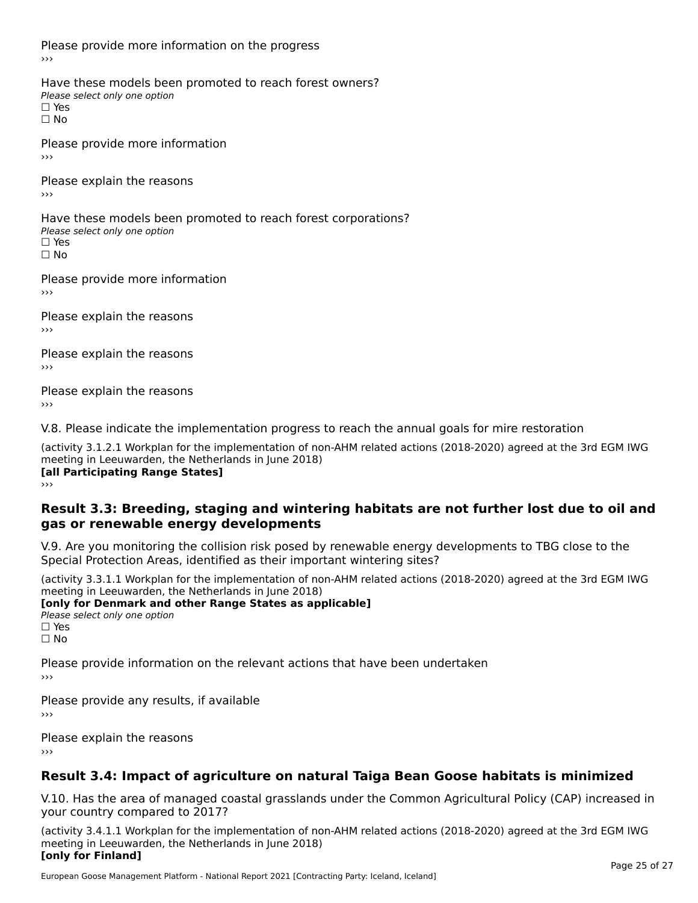Please provide more information on the progress

Have these models been promoted to reach forest owners? ∩ave these models bee<br>Please select only one option □ Yes<br>□ No

Please provide more information›››

Please explain the reasons ›››

Have these models been promoted to reach forest corporations? ∩ave these models bee<br>Please select only one option □ Yes<br>□ No

Please provide more information›››

Please explain the reasons ›››

Please explain the reasons›››

Please explain the reasons›››

V.8. Please indicate the implementation progress to reach the annual goals for mire restoration

(activity 3.1.2.1 Workplan for the implementation of non-AHM related actions (2018-2020) agreed at the 3rd EGM IWG meeting in Leeuwarden, the Netherlands in June 2018) **[all Participating Range States]** ›››

**Result 3.3: Breeding, staging and wintering habitats are not further lost due to oil andgas or renewable energy developments**gas or renewable energy developments

V.9. Are you monitoring the collision risk posed by renewable energy developments to TBG close to the

Special Protection Areas, identified as their important wintering sites?

(activity 3.3.1.1 Workplan for the implementation of non-AHM related actions (2018-2020) agreed at the 3rd EGM IWG **[only for Denmark and other Range States as applicable]**

**Please select only one option** □ Yes<br>□ No

Please provide information on the relevant actions that have been undertaken ›››

Please provide any results, if available

Please explain the reasons

# **Result 3.4: Impact of agriculture on natural Taiga Bean Goose habitats is minimized**

V.10. Has the area of managed coastal grasslands under the Common Agricultural Policy (CAP) increased in

(activity 3.4.1.1 Workplan for the implementation of non-AHM related actions (2018-2020) agreed at the 3rd EGM IWG meeting in Leeuwarden, the Netherlands in June 2018) **[only for Finland]**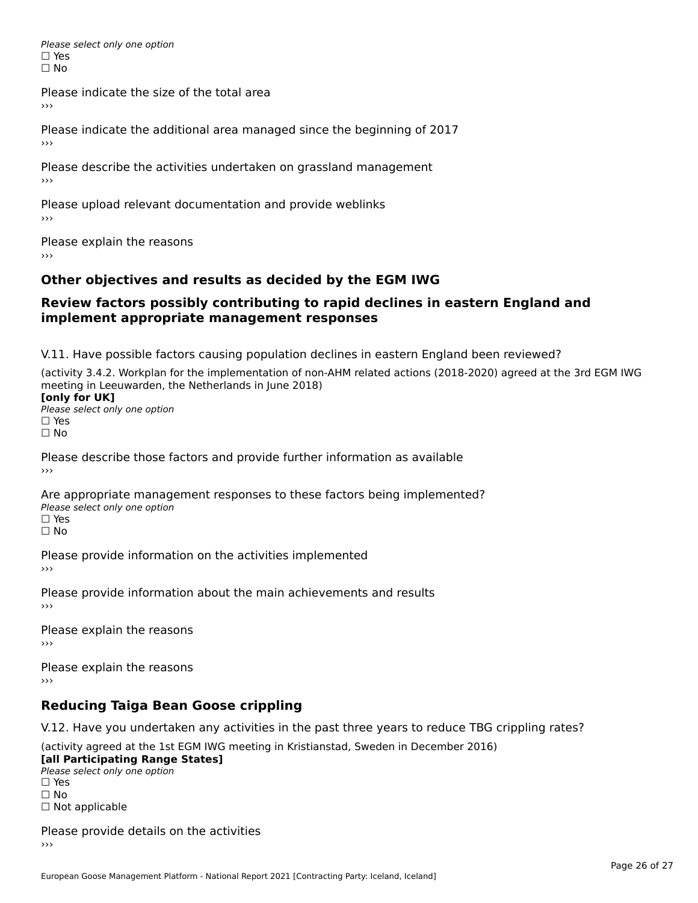Please select only one option □ Yes<br>□ No

Please indicate the size of the total area

›››

Please indicate the additional area managed since the beginning of 2017

Please describe the activities undertaken on grassland management ›››

Please upload relevant documentation and provide weblinks

Please explain the reasons

# **Other objectives and results as decided by the EGM IWG**

#### **Review factors possibly contributing to rapid declines in eastern England andimplement appropriate management responses**implement appropriate management responses

V.11. Have possible factors causing population declines in eastern England been reviewed?

(activity 3.4.2. Workplan for the implementation of non-AHM related actions (2018-2020) agreed at the 3rd EGM IWGmeeting in Leeuwarden, the Netherlands in June 2018) meeting in Leeuwarden, the Netherlands in June 2018)<br>**[only for UK]** 

**∐omy for OR**<br>Please select only one option □ Yes<br>□ No

Please describe those factors and provide further information as available

Are appropriate management responses to these factors being implemented? Please select only one option ים<br>⊡ No

Please provide information on the activities implemented ›››

Please provide information about the main achievements and results›››

Please explain the reasons›››

Please explain the reasons ›››

# **Reducing Taiga Bean Goose crippling**

V.12. Have you undertaken any activities in the past three years to reduce TBG crippling rates?

(activity agreed at the 1st EGM IWG meeting in Kristianstad, Sweden in December 2016) **[all Participating Range States]**

[all Participating Range States] Please select only one option☐ Yesים<br>⊡ No □ Not applicable

Please provide details on the activities››› $\rightarrow$   $>$